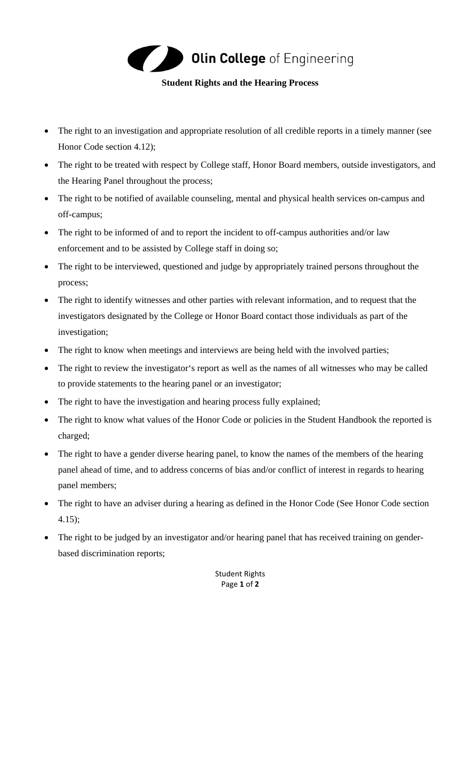

## **Student Rights and the Hearing Process**

- The right to an investigation and appropriate resolution of all credible reports in a timely manner (see Honor Code section 4.12);
- The right to be treated with respect by College staff, Honor Board members, outside investigators, and the Hearing Panel throughout the process;
- The right to be notified of available counseling, mental and physical health services on-campus and off-campus;
- The right to be informed of and to report the incident to off-campus authorities and/or law enforcement and to be assisted by College staff in doing so;
- The right to be interviewed, questioned and judge by appropriately trained persons throughout the process;
- The right to identify witnesses and other parties with relevant information, and to request that the investigators designated by the College or Honor Board contact those individuals as part of the investigation;
- The right to know when meetings and interviews are being held with the involved parties;
- The right to review the investigator's report as well as the names of all witnesses who may be called to provide statements to the hearing panel or an investigator;
- The right to have the investigation and hearing process fully explained;
- The right to know what values of the Honor Code or policies in the Student Handbook the reported is charged;
- The right to have a gender diverse hearing panel, to know the names of the members of the hearing panel ahead of time, and to address concerns of bias and/or conflict of interest in regards to hearing panel members;
- The right to have an adviser during a hearing as defined in the Honor Code (See Honor Code section 4.15);
- The right to be judged by an investigator and/or hearing panel that has received training on genderbased discrimination reports;

Student Rights Page **1** of **2**